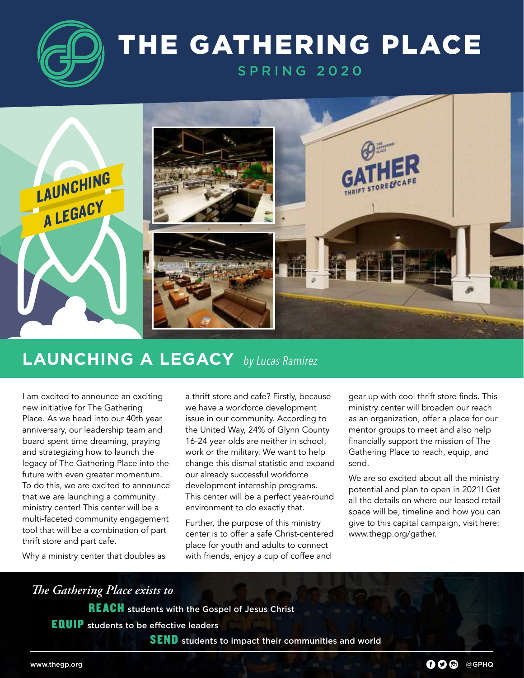

## THE GATHERING PLACE

SPRING 2020



#### **LAUNCHING A LEGACY** *by Lucas Ramirez*

I am excited to announce an exciting new initiative for The Gathering Place. As we head into our 40th year anniversary, our leadership team and board spent time dreaming, praying and strategizing how to launch the legacy of The Gathering Place into the future with even greater momentum. To do this, we are excited to announce that we are launching a community ministry center! This center will be a multi-faceted community engagement tool that will be a combination of part thrift store and part cafe.

Why a ministry center that doubles as

a thrift store and cafe? Firstly, because we have a workforce development issue in our community. According to the United Way, 24% of Glynn County 16-24 year olds are neither in school, work or the military. We want to help change this dismal statistic and expand our already successful workforce development internship programs. This center will be a perfect year-round environment to do exactly that.

Further, the purpose of this ministry center is to offer a safe Christ-centered place for youth and adults to connect with friends, enjoy a cup of coffee and

gear up with cool thrift store finds. This ministry center will broaden our reach as an organization, offer a place for our mentor groups to meet and also help financially support the mission of The Gathering Place to reach, equip, and send.

We are so excited about all the ministry potential and plan to open in 2021! Get all the details on where our leased retail space will be, timeline and how you can give to this capital campaign, visit here: www.thegp.org/gather.

### *The Gathering Place exists to*

REACH students with the Gospel of Jesus Christ

**EQUIP** students to be effective leaders

SEND students to impact their communities and world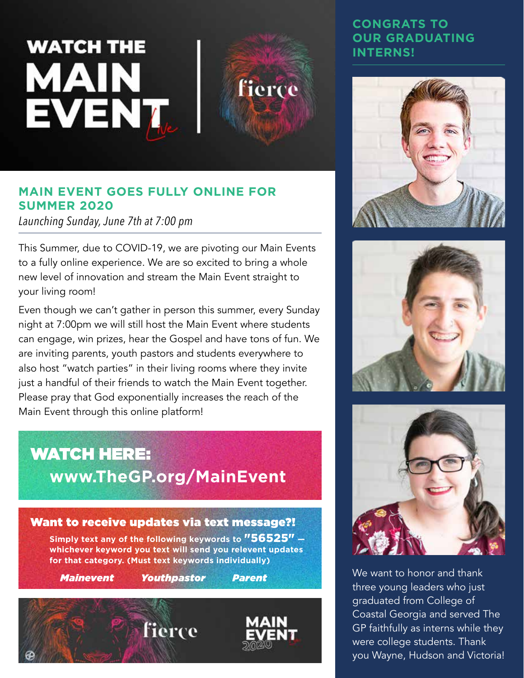# **WATCH THE** MAIN **EVENT**



#### **MAIN EVENT GOES FULLY ONLINE FOR SUMMER 2020**

*Launching Sunday, June 7th at 7:00 pm*

This Summer, due to COVID-19, we are pivoting our Main Events to a fully online experience. We are so excited to bring a whole new level of innovation and stream the Main Event straight to your living room!

Even though we can't gather in person this summer, every Sunday night at 7:00pm we will still host the Main Event where students can engage, win prizes, hear the Gospel and have tons of fun. We are inviting parents, youth pastors and students everywhere to also host "watch parties" in their living rooms where they invite just a handful of their friends to watch the Main Event together. Please pray that God exponentially increases the reach of the Main Event through this online platform!

## WATCH HERE: **www.TheGP.org/MainEvent**





#### **CONGRATS TO OUR GRADUATING INTERNS!**







**Mainevent Youthpastor Parent** We want to honor and thank three young leaders who just graduated from College of Coastal Georgia and served The GP faithfully as interns while they were college students. Thank you Wayne, Hudson and Victoria!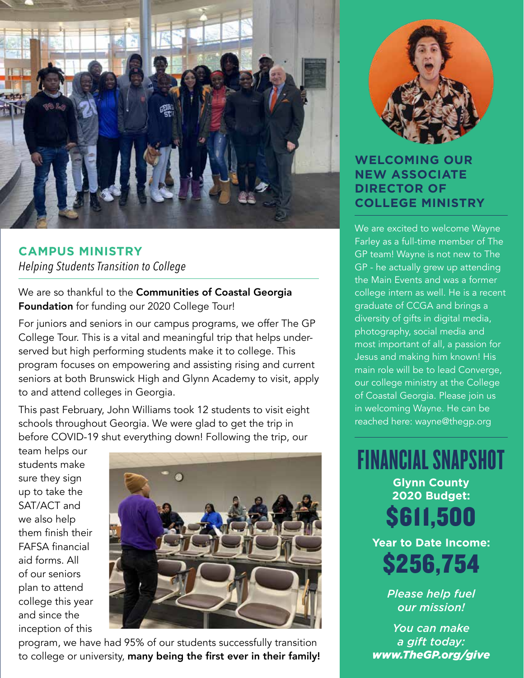

**CAMPUS MINISTRY** *Helping Students Transition to College*

We are so thankful to the Communities of Coastal Georgia Foundation for funding our 2020 College Tour!

For juniors and seniors in our campus programs, we offer The GP College Tour. This is a vital and meaningful trip that helps underserved but high performing students make it to college. This program focuses on empowering and assisting rising and current seniors at both Brunswick High and Glynn Academy to visit, apply to and attend colleges in Georgia.

This past February, John Williams took 12 students to visit eight schools throughout Georgia. We were glad to get the trip in before COVID-19 shut everything down! Following the trip, our

team helps our students make sure they sign up to take the SAT/ACT and we also help them finish their FAFSA financial aid forms. All of our seniors plan to attend college this year and since the inception of this



program, we have had 95% of our students successfully transition to college or university, many being the first ever in their family!



#### **WELCOMING OUR NEW ASSOCIATE DIRECTOR OF COLLEGE MINISTRY**

We are excited to welcome Wayne Farley as a full-time member of The GP team! Wayne is not new to The GP - he actually grew up attending the Main Events and was a former college intern as well. He is a recent graduate of CCGA and brings a diversity of gifts in digital media, photography, social media and most important of all, a passion for Jesus and making him known! His main role will be to lead Converge, our college ministry at the College of Coastal Georgia. Please join us in welcoming Wayne. He can be reached here: wayne@thegp.org

FINANCIAL SNAPSHOT **Glynn County 2020 Budget:**  \$611,500 **Year to Date Income:**

\$256,754

*Please help fuel our mission!*

*You can make a gift today: www.TheGP.org/give*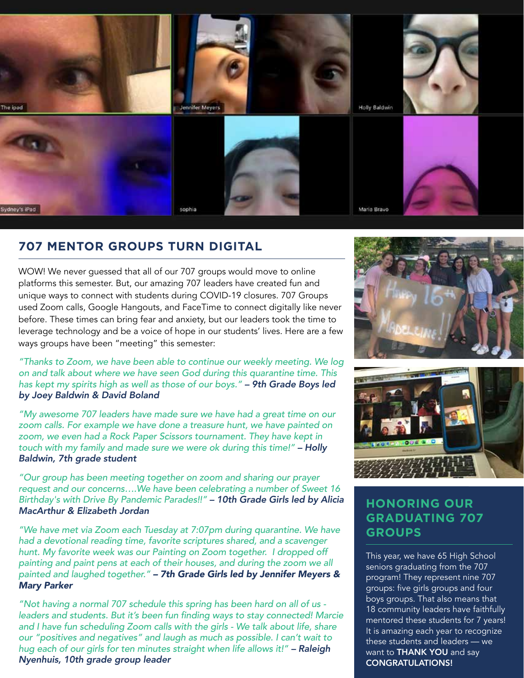

#### **707 MENTOR GROUPS TURN DIGITAL**

WOW! We never guessed that all of our 707 groups would move to online platforms this semester. But, our amazing 707 leaders have created fun and unique ways to connect with students during COVID-19 closures. 707 Groups used Zoom calls, Google Hangouts, and FaceTime to connect digitally like never before. These times can bring fear and anxiety, but our leaders took the time to leverage technology and be a voice of hope in our students' lives. Here are a few ways groups have been "meeting" this semester:

*"Thanks to Zoom, we have been able to continue our weekly meeting. We log on and talk about where we have seen God during this quarantine time. This has kept my spirits high as well as those of our boys." – 9th Grade Boys led by Joey Baldwin & David Boland*

*"My awesome 707 leaders have made sure we have had a great time on our zoom calls. For example we have done a treasure hunt, we have painted on zoom, we even had a Rock Paper Scissors tournament. They have kept in touch with my family and made sure we were ok during this time!" – Holly Baldwin, 7th grade student*

*"Our group has been meeting together on zoom and sharing our prayer request and our concerns….We have been celebrating a number of Sweet 16 Birthday's with Drive By Pandemic Parades!!" – 10th Grade Girls led by Alicia MacArthur & Elizabeth Jordan*

*"We have met via Zoom each Tuesday at 7:07pm during quarantine. We have had a devotional reading time, favorite scriptures shared, and a scavenger hunt. My favorite week was our Painting on Zoom together. I dropped off painting and paint pens at each of their houses, and during the zoom we all painted and laughed together." – 7th Grade Girls led by Jennifer Meyers & Mary Parker*

*"Not having a normal 707 schedule this spring has been hard on all of us*  leaders and students. But it's been fun finding ways to stay connected! Marcie and I have fun scheduling Zoom calls with the girls - We talk about life, share *our "positives and negatives" and laugh as much as possible. I can't wait to hug each of our girls for ten minutes straight when life allows it!" – Raleigh Nyenhuis, 10th grade group leader*





#### **HONORING OUR GRADUATING 707 GROUPS**

This year, we have 65 High School seniors graduating from the 707 program! They represent nine 707 groups: five girls groups and four boys groups. That also means that 18 community leaders have faithfully mentored these students for 7 years! It is amazing each year to recognize these students and leaders — we want to **THANK YOU** and say CONGRATULATIONS!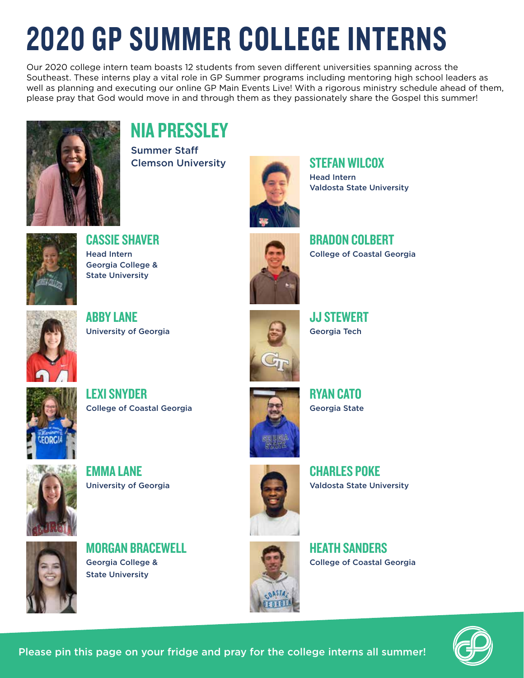# 2020 GP SUMMER COLLEGE INTERNS

Our 2020 college intern team boasts 12 students from seven different universities spanning across the Southeast. These interns play a vital role in GP Summer programs including mentoring high school leaders as well as planning and executing our online GP Main Events Live! With a rigorous ministry schedule ahead of them, please pray that God would move in and through them as they passionately share the Gospel this summer!



## NIA PRESSLEY

Summer Staff **Clemson University STEFAN WILCOX** 



Head Intern Valdosta State University



CASSIE SHAVER Head Intern Georgia College & State University



BRADON COLBERT College of Coastal Georgia



ABBY LANE University of Georgia



JJ STEWERT Georgia Tech





RYAN CATO Georgia State



EMMA LANE University of Georgia



CHARLES POKE Valdosta State University



MORGAN BRACEWELL Georgia College & State University



HEATH SANDERS College of Coastal Georgia